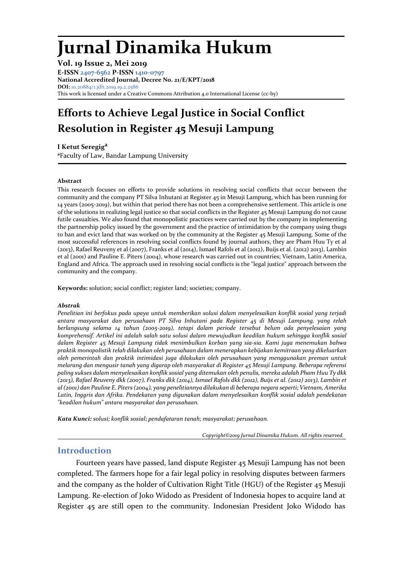# **Jurnal Dinamika Hukum**

**Vol. 19 Issue 2, Mei 2019 E-ISSN [2407-6562](http://u.lipi.go.id/1413537252) P-ISSN [1410-0797](http://issn.pdii.lipi.go.id/issn.cgi?daftar&1180431624&1&&2007) National Accredited Journal, Decree No. 21/E/KPT/2018 DOI:** 10.20884/1.jdh.2019.19.2.2586 This work is licensed under a Creative Commons Attribution 4.0 International License (cc-by)

# **Efforts to Achieve Legal Justice in Social Conflict Resolution in Register 45 Mesuji Lampung**

**I Ketut Seregig a**

**<sup>a</sup>**Faculty of Law, Bandar Lampung University

#### **Abstract**

This research focuses on efforts to provide solutions in resolving social conflicts that occur between the community and the company PT Silva Inhutani at Register 45 in Mesuji Lampung, which has been running for 14 years (2005-2019), but within that period there has not been a comprehensive settlement. This article is one of the solutions in realizing legal justice so that social conflicts in the Register 45 Mesuji Lampung do not cause futile casualties. We also found that monopolistic practices were carried out by the company in implementing the partnership policy issued by the government and the practice of intimidation by the company using thugs to ban and evict land that was worked on by the community at the Register 45 Mesuji Lampung. Some of the most successful references in resolving social conflicts found by journal authors, they are Pham Huu Ty et al (2013), Rafael Reuveny et al (2007), Franks et al (2014), Ismael Rafols et al (2012), Buijs et al. (2012) 2013), Lambin et al (2001) and Pauline E. Piters (2004), whose research was carried out in countries; Vietnam, Latin America, England and Africa. The approach used in resolving social conflicts is the "legal justice" approach between the community and the company.

**Keywords:** solution; social conflict; register land; societies; company.

#### *Abstrak*

*Penelitian ini berfokus pada upaya untuk memberikan solusi dalam menyelesaikan konflik sosial yang terjadi antara masyarakat dan perusahaan PT Silva Inhutani pada Register 45 di Mesuji Lampung, yang telah berlangsung selama 14 tahun (2005-2019), tetapi dalam periode tersebut belum ada penyelesaian yang komprehensif. Artikel ini adalah salah satu solusi dalam mewujudkan keadilan hukum sehingga konflik sosial dalam Register 45 Mesuji Lampung tidak menimbulkan korban yang sia-sia. Kami juga menemukan bahwa praktik monopolistik telah dilakukan oleh perusahaan dalam menerapkan kebijakan kemitraan yang dikeluarkan oleh pemerintah dan praktik intimidasi juga dilakukan oleh perusahaan yang menggunakan preman untuk melarang dan mengusir tanah yang digarap oleh masyarakat di Register 45 Mesuji Lampung. Beberapa referensi paling sukses dalam menyelesaikan konflik sosial yang ditemukan oleh penulis, mereka adalah Pham Huu Ty dkk (2013), Rafael Reuveny dkk (2007), Franks dkk (2014), Ismael Rafols dkk (2012), Buijs et al. (2012) 2013), Lambin et al (2001) dan Pauline E. Piters (2004), yang penelitiannya dilakukan di beberapa negara seperti; Vietnam, Amerika Latin, Inggris dan Afrika. Pendekatan yang digunakan dalam menyelesaikan konflik sosial adalah pendekatan "keadilan hukum" antara masyarakat dan perusahaan.*

*Kata Kunci: solusi; konflik sosial; pendafataran tanah; masyarakat; perusahaan.*

*Copyright©2019 Jurnal Dinamika Hukum. All rights reserved.*

# **Introduction**

Fourteen years have passed, land dispute Register 45 Mesuji Lampung has not been completed. The farmers hope for a fair legal policy in resolving disputes between farmers and the company as the holder of Cultivation Right Title (HGU) of the Register 45 Mesuji Lampung. Re-election of Joko Widodo as President of Indonesia hopes to acquire land at Register 45 are still open to the community. Indonesian President Joko Widodo has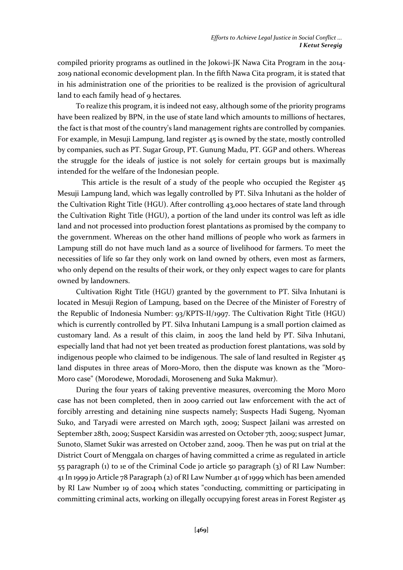compiled priority programs as outlined in the Jokowi-JK Nawa Cita Program in the 2014- 2019 national economic development plan. In the fifth Nawa Cita program, it is stated that in his administration one of the priorities to be realized is the provision of agricultural land to each family head of 9 hectares.

To realize this program, it is indeed not easy, although some of the priority programs have been realized by BPN, in the use of state land which amounts to millions of hectares, the fact is that most of the country's land management rights are controlled by companies. For example, in Mesuji Lampung, land register 45 is owned by the state, mostly controlled by companies, such as PT. Sugar Group, PT. Gunung Madu, PT. GGP and others. Whereas the struggle for the ideals of justice is not solely for certain groups but is maximally intended for the welfare of the Indonesian people.

This article is the result of a study of the people who occupied the Register 45 Mesuji Lampung land, which was legally controlled by PT. Silva Inhutani as the holder of the Cultivation Right Title (HGU). After controlling 43,000 hectares of state land through the Cultivation Right Title (HGU), a portion of the land under its control was left as idle land and not processed into production forest plantations as promised by the company to the government. Whereas on the other hand millions of people who work as farmers in Lampung still do not have much land as a source of livelihood for farmers. To meet the necessities of life so far they only work on land owned by others, even most as farmers, who only depend on the results of their work, or they only expect wages to care for plants owned by landowners.

Cultivation Right Title (HGU) granted by the government to PT. Silva Inhutani is located in Mesuji Region of Lampung, based on the Decree of the Minister of Forestry of the Republic of Indonesia Number: 93/KPTS-II/1997. The Cultivation Right Title (HGU) which is currently controlled by PT. Silva Inhutani Lampung is a small portion claimed as customary land. As a result of this claim, in 2005 the land held by PT. Silva Inhutani, especially land that had not yet been treated as production forest plantations, was sold by indigenous people who claimed to be indigenous. The sale of land resulted in Register 45 land disputes in three areas of Moro-Moro, then the dispute was known as the "Moro-Moro case" (Morodewe, Morodadi, Moroseneng and Suka Makmur).

During the four years of taking preventive measures, overcoming the Moro Moro case has not been completed, then in 2009 carried out law enforcement with the act of forcibly arresting and detaining nine suspects namely; Suspects Hadi Sugeng, Nyoman Suko, and Taryadi were arrested on March 19th, 2009; Suspect Jailani was arrested on September 28th, 2009; Suspect Karsidin was arrested on October 7th, 2009; suspect Jumar, Sunoto, Slamet Sukir was arrested on October 22nd, 2009. Then he was put on trial at the District Court of Menggala on charges of having committed a crime as regulated in article 55 paragraph (1) to 1e of the Criminal Code jo article 50 paragraph (3) of RI Law Number: 41 In 1999 jo Article 78 Paragraph (2) of RI Law Number 41 of 1999 which has been amended by RI Law Number 19 of 2004 which states "conducting, committing or participating in committing criminal acts, working on illegally occupying forest areas in Forest Register 45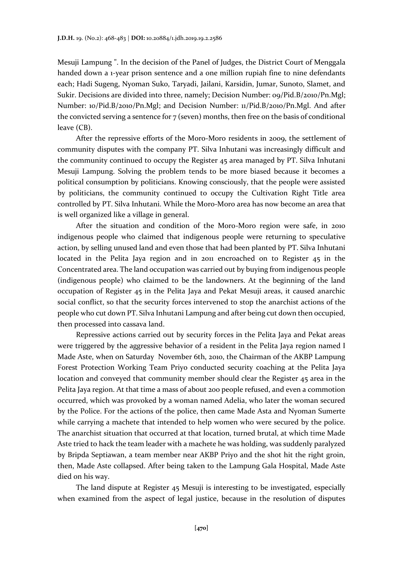Mesuji Lampung ". In the decision of the Panel of Judges, the District Court of Menggala handed down a 1-year prison sentence and a one million rupiah fine to nine defendants each; Hadi Sugeng, Nyoman Suko, Taryadi, Jailani, Karsidin, Jumar, Sunoto, Slamet, and Sukir. Decisions are divided into three, namely; Decision Number: 09/Pid.B/2010/Pn.Mgl; Number: 10/Pid.B/2010/Pn.Mgl; and Decision Number: 11/Pid.B/2010/Pn.Mgl. And after the convicted serving a sentence for  $7$  (seven) months, then free on the basis of conditional leave (CB).

After the repressive efforts of the Moro-Moro residents in 2009, the settlement of community disputes with the company PT. Silva Inhutani was increasingly difficult and the community continued to occupy the Register 45 area managed by PT. Silva Inhutani Mesuji Lampung. Solving the problem tends to be more biased because it becomes a political consumption by politicians. Knowing consciously, that the people were assisted by politicians, the community continued to occupy the Cultivation Right Title area controlled by PT. Silva Inhutani. While the Moro-Moro area has now become an area that is well organized like a village in general.

After the situation and condition of the Moro-Moro region were safe, in 2010 indigenous people who claimed that indigenous people were returning to speculative action, by selling unused land and even those that had been planted by PT. Silva Inhutani located in the Pelita Jaya region and in 2011 encroached on to Register 45 in the Concentrated area. The land occupation was carried out by buying from indigenous people (indigenous people) who claimed to be the landowners. At the beginning of the land occupation of Register 45 in the Pelita Jaya and Pekat Mesuji areas, it caused anarchic social conflict, so that the security forces intervened to stop the anarchist actions of the people who cut down PT. Silva Inhutani Lampung and after being cut down then occupied, then processed into cassava land.

Repressive actions carried out by security forces in the Pelita Jaya and Pekat areas were triggered by the aggressive behavior of a resident in the Pelita Jaya region named I Made Aste, when on Saturday November 6th, 2010, the Chairman of the AKBP Lampung Forest Protection Working Team Priyo conducted security coaching at the Pelita Jaya location and conveyed that community member should clear the Register 45 area in the Pelita Jaya region. At that time a mass of about 200 people refused, and even a commotion occurred, which was provoked by a woman named Adelia, who later the woman secured by the Police. For the actions of the police, then came Made Asta and Nyoman Sumerte while carrying a machete that intended to help women who were secured by the police. The anarchist situation that occurred at that location, turned brutal, at which time Made Aste tried to hack the team leader with a machete he was holding, was suddenly paralyzed by Bripda Septiawan, a team member near AKBP Priyo and the shot hit the right groin, then, Made Aste collapsed. After being taken to the Lampung Gala Hospital, Made Aste died on his way.

The land dispute at Register 45 Mesuji is interesting to be investigated, especially when examined from the aspect of legal justice, because in the resolution of disputes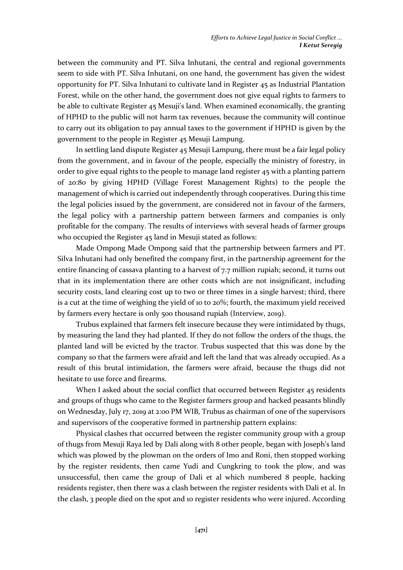between the community and PT. Silva Inhutani, the central and regional governments seem to side with PT. Silva Inhutani, on one hand, the government has given the widest opportunity for PT. Silva Inhutani to cultivate land in Register 45 as Industrial Plantation Forest, while on the other hand, the government does not give equal rights to farmers to be able to cultivate Register 45 Mesuji's land. When examined economically, the granting of HPHD to the public will not harm tax revenues, because the community will continue to carry out its obligation to pay annual taxes to the government if HPHD is given by the government to the people in Register 45 Mesuji Lampung.

In settling land dispute Register 45 Mesuji Lampung, there must be a fair legal policy from the government, and in favour of the people, especially the ministry of forestry, in order to give equal rights to the people to manage land register 45 with a planting pattern of 20:80 by giving HPHD (Village Forest Management Rights) to the people the management of which is carried out independently through cooperatives. During this time the legal policies issued by the government, are considered not in favour of the farmers, the legal policy with a partnership pattern between farmers and companies is only profitable for the company. The results of interviews with several heads of farmer groups who occupied the Register 45 land in Mesuji stated as follows:

Made Ompong Made Ompong said that the partnership between farmers and PT. Silva Inhutani had only benefited the company first, in the partnership agreement for the entire financing of cassava planting to a harvest of 7.7 million rupiah; second, it turns out that in its implementation there are other costs which are not insignificant, including security costs, land clearing cost up to two or three times in a single harvest; third, there is a cut at the time of weighing the yield of 10 to 20%; fourth, the maximum yield received by farmers every hectare is only 500 thousand rupiah (Interview, 2019).

Trubus explained that farmers felt insecure because they were intimidated by thugs, by measuring the land they had planted. If they do not follow the orders of the thugs, the planted land will be evicted by the tractor. Trubus suspected that this was done by the company so that the farmers were afraid and left the land that was already occupied. As a result of this brutal intimidation, the farmers were afraid, because the thugs did not hesitate to use force and firearms.

When I asked about the social conflict that occurred between Register 45 residents and groups of thugs who came to the Register farmers group and hacked peasants blindly on Wednesday, July 17, 2019 at 2:00 PM WIB, Trubus as chairman of one of the supervisors and supervisors of the cooperative formed in partnership pattern explains:

Physical clashes that occurred between the register community group with a group of thugs from Mesuji Raya led by Dali along with 8 other people, began with Joseph's land which was plowed by the plowman on the orders of Imo and Roni, then stopped working by the register residents, then came Yudi and Cungkring to took the plow, and was unsuccessful, then came the group of Dali et al which numbered 8 people, hacking residents register, then there was a clash between the register residents with Dali et al. In the clash, 3 people died on the spot and 10 register residents who were injured. According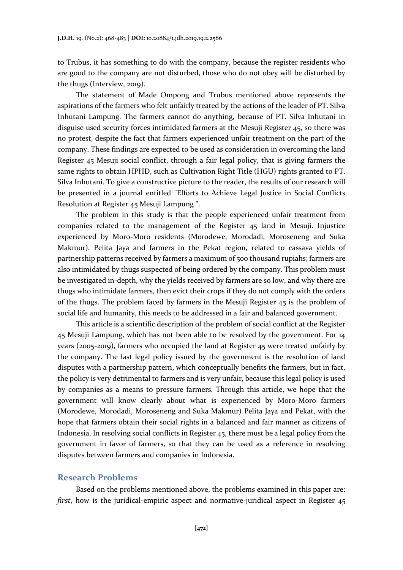to Trubus, it has something to do with the company, because the register residents who are good to the company are not disturbed, those who do not obey will be disturbed by the thugs (Interview, 2019).

The statement of Made Ompong and Trubus mentioned above represents the aspirations of the farmers who felt unfairly treated by the actions of the leader of PT. Silva Inhutani Lampung. The farmers cannot do anything, because of PT. Silva Inhutani in disguise used security forces intimidated farmers at the Mesuji Register 45, so there was no protest, despite the fact that farmers experienced unfair treatment on the part of the company. These findings are expected to be used as consideration in overcoming the land Register 45 Mesuji social conflict, through a fair legal policy, that is giving farmers the same rights to obtain HPHD, such as Cultivation Right Title (HGU) rights granted to PT. Silva Inhutani. To give a constructive picture to the reader, the results of our research will be presented in a journal entitled "Efforts to Achieve Legal Justice in Social Conflicts Resolution at Register 45 Mesuji Lampung ".

The problem in this study is that the people experienced unfair treatment from companies related to the management of the Register 45 land in Mesuji. Injustice experienced by Moro-Moro residents (Morodewe, Morodadi, Moroseneng and Suka Makmur), Pelita Jaya and farmers in the Pekat region, related to cassava yields of partnership patterns received by farmers a maximum of 500 thousand rupiahs; farmers are also intimidated by thugs suspected of being ordered by the company. This problem must be investigated in-depth, why the yields received by farmers are so low, and why there are thugs who intimidate farmers, then evict their crops if they do not comply with the orders of the thugs. The problem faced by farmers in the Mesuji Register 45 is the problem of social life and humanity, this needs to be addressed in a fair and balanced government.

This article is a scientific description of the problem of social conflict at the Register 45 Mesuji Lampung, which has not been able to be resolved by the government. For 14 years (2005-2019), farmers who occupied the land at Register 45 were treated unfairly by the company. The last legal policy issued by the government is the resolution of land disputes with a partnership pattern, which conceptually benefits the farmers, but in fact, the policy is very detrimental to farmers and is very unfair, because this legal policy is used by companies as a means to pressure farmers. Through this article, we hope that the government will know clearly about what is experienced by Moro-Moro farmers (Morodewe, Morodadi, Moroseneng and Suka Makmur) Pelita Jaya and Pekat, with the hope that farmers obtain their social rights in a balanced and fair manner as citizens of Indonesia. In resolving social conflicts in Register 45, there must be a legal policy from the government in favor of farmers, so that they can be used as a reference in resolving disputes between farmers and companies in Indonesia.

#### **Research Problems**

Based on the problems mentioned above, the problems examined in this paper are: *first*, how is the juridical-empiric aspect and normative-juridical aspect in Register 45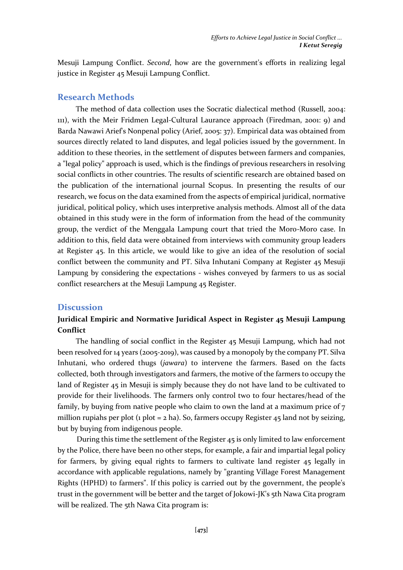Mesuji Lampung Conflict. *Second*, how are the government's efforts in realizing legal justice in Register 45 Mesuji Lampung Conflict.

#### **Research Methods**

The method of data collection uses the Socratic dialectical method (Russell, 2004: 111), with the Meir Fridmen Legal-Cultural Laurance approach (Firedman, 2001: 9) and Barda Nawawi Arief's Nonpenal policy (Arief, 2005: 37). Empirical data was obtained from sources directly related to land disputes, and legal policies issued by the government. In addition to these theories, in the settlement of disputes between farmers and companies, a "legal policy" approach is used, which is the findings of previous researchers in resolving social conflicts in other countries. The results of scientific research are obtained based on the publication of the international journal Scopus. In presenting the results of our research, we focus on the data examined from the aspects of empirical juridical, normative juridical, political policy, which uses interpretive analysis methods. Almost all of the data obtained in this study were in the form of information from the head of the community group, the verdict of the Menggala Lampung court that tried the Moro-Moro case. In addition to this, field data were obtained from interviews with community group leaders at Register 45. In this article, we would like to give an idea of the resolution of social conflict between the community and PT. Silva Inhutani Company at Register 45 Mesuji Lampung by considering the expectations - wishes conveyed by farmers to us as social conflict researchers at the Mesuji Lampung 45 Register.

# **Discussion**

# **Juridical Empiric and Normative Juridical Aspect in Register 45 Mesuji Lampung Conflict**

The handling of social conflict in the Register 45 Mesuji Lampung, which had not been resolved for 14 years (2005-2019), was caused by a monopoly by the company PT. Silva Inhutani, who ordered thugs (*jawara*) to intervene the farmers. Based on the facts collected, both through investigators and farmers, the motive of the farmers to occupy the land of Register 45 in Mesuji is simply because they do not have land to be cultivated to provide for their livelihoods. The farmers only control two to four hectares/head of the family, by buying from native people who claim to own the land at a maximum price of 7 million rupiahs per plot (1 plot = 2 ha). So, farmers occupy Register 45 land not by seizing, but by buying from indigenous people.

During this time the settlement of the Register 45 is only limited to law enforcement by the Police, there have been no other steps, for example, a fair and impartial legal policy for farmers, by giving equal rights to farmers to cultivate land register 45 legally in accordance with applicable regulations, namely by "granting Village Forest Management Rights (HPHD) to farmers". If this policy is carried out by the government, the people's trust in the government will be better and the target of Jokowi-JK's 5th Nawa Cita program will be realized. The 5th Nawa Cita program is: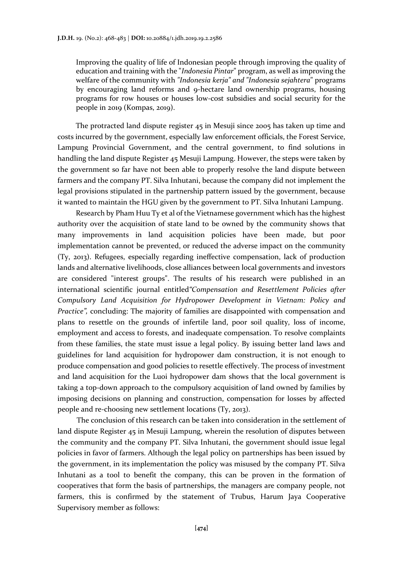Improving the quality of life of Indonesian people through improving the quality of education and training with the "*Indonesia Pintar*" program, as well as improving the welfare of the community with *"Indonesia kerja" and "Indonesia sejahtera*" programs by encouraging land reforms and 9-hectare land ownership programs, housing programs for row houses or houses low-cost subsidies and social security for the people in 2019 (Kompas, 2019).

The protracted land dispute register 45 in Mesuji since 2005 has taken up time and costs incurred by the government, especially law enforcement officials, the Forest Service, Lampung Provincial Government, and the central government, to find solutions in handling the land dispute Register 45 Mesuji Lampung. However, the steps were taken by the government so far have not been able to properly resolve the land dispute between farmers and the company PT. Silva Inhutani, because the company did not implement the legal provisions stipulated in the partnership pattern issued by the government, because it wanted to maintain the HGU given by the government to PT. Silva Inhutani Lampung.

Research by Pham Huu Ty et al of the Vietnamese government which has the highest authority over the acquisition of state land to be owned by the community shows that many improvements in land acquisition policies have been made, but poor implementation cannot be prevented, or reduced the adverse impact on the community (Ty, 2013). Refugees, especially regarding ineffective compensation, lack of production lands and alternative livelihoods, close alliances between local governments and investors are considered "interest groups". The results of his research were published in an international scientific journal entitled*"Compensation and Resettlement Policies after Compulsory Land Acquisition for Hydropower Development in Vietnam: Policy and Practice",* concluding: The majority of families are disappointed with compensation and plans to resettle on the grounds of infertile land, poor soil quality, loss of income, employment and access to forests, and inadequate compensation. To resolve complaints from these families, the state must issue a legal policy. By issuing better land laws and guidelines for land acquisition for hydropower dam construction, it is not enough to produce compensation and good policies to resettle effectively. The process of investment and land acquisition for the Luoi hydropower dam shows that the local government is taking a top-down approach to the compulsory acquisition of land owned by families by imposing decisions on planning and construction, compensation for losses by affected people and re-choosing new settlement locations (Ty, 2013).

The conclusion of this research can be taken into consideration in the settlement of land dispute Register 45 in Mesuji Lampung, wherein the resolution of disputes between the community and the company PT. Silva Inhutani, the government should issue legal policies in favor of farmers. Although the legal policy on partnerships has been issued by the government, in its implementation the policy was misused by the company PT. Silva Inhutani as a tool to benefit the company, this can be proven in the formation of cooperatives that form the basis of partnerships, the managers are company people, not farmers, this is confirmed by the statement of Trubus, Harum Jaya Cooperative Supervisory member as follows: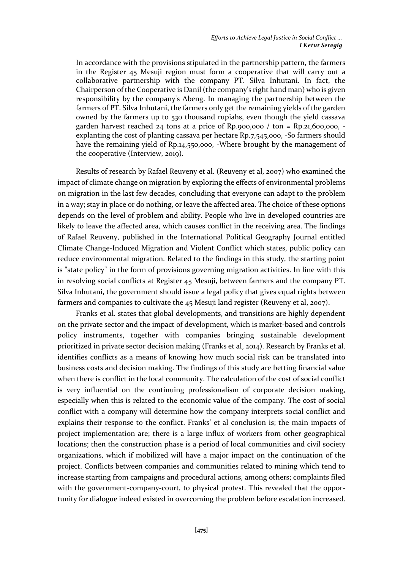In accordance with the provisions stipulated in the partnership pattern, the farmers in the Register 45 Mesuji region must form a cooperative that will carry out a collaborative partnership with the company PT. Silva Inhutani. In fact, the Chairperson of the Cooperative is Danil (the company's right hand man) who is given responsibility by the company's Abeng. In managing the partnership between the farmers of PT. Silva Inhutani, the farmers only get the remaining yields of the garden owned by the farmers up to 530 thousand rupiahs, even though the yield cassava garden harvest reached  $24$  tons at a price of Rp.900,000 / ton = Rp.21,600,000, explanting the cost of planting cassava per hectare Rp.7,545,000, -So farmers should have the remaining yield of Rp.14,550,000, -Where brought by the management of the cooperative (Interview, 2019).

Results of research by Rafael Reuveny et al. (Reuveny et al, 2007) who examined the impact of climate change on migration by exploring the effects of environmental problems on migration in the last few decades, concluding that everyone can adapt to the problem in a way; stay in place or do nothing, or leave the affected area. The choice of these options depends on the level of problem and ability. People who live in developed countries are likely to leave the affected area, which causes conflict in the receiving area. The findings of Rafael Reuveny, published in the International Political Geography Journal entitled Climate Change-Induced Migration and Violent Conflict which states, public policy can reduce environmental migration. Related to the findings in this study, the starting point is "state policy" in the form of provisions governing migration activities. In line with this in resolving social conflicts at Register 45 Mesuji, between farmers and the company PT. Silva Inhutani, the government should issue a legal policy that gives equal rights between farmers and companies to cultivate the 45 Mesuji land register (Reuveny et al, 2007).

Franks et al. states that global developments, and transitions are highly dependent on the private sector and the impact of development, which is market-based and controls policy instruments, together with companies bringing sustainable development prioritized in private sector decision making (Franks et al, 2014). Research by Franks et al. identifies conflicts as a means of knowing how much social risk can be translated into business costs and decision making. The findings of this study are betting financial value when there is conflict in the local community. The calculation of the cost of social conflict is very influential on the continuing professionalism of corporate decision making, especially when this is related to the economic value of the company. The cost of social conflict with a company will determine how the company interprets social conflict and explains their response to the conflict. Franks' et al conclusion is; the main impacts of project implementation are; there is a large influx of workers from other geographical locations; then the construction phase is a period of local communities and civil society organizations, which if mobilized will have a major impact on the continuation of the project. Conflicts between companies and communities related to mining which tend to increase starting from campaigns and procedural actions, among others; complaints filed with the government-company-court, to physical protest. This revealed that the opportunity for dialogue indeed existed in overcoming the problem before escalation increased.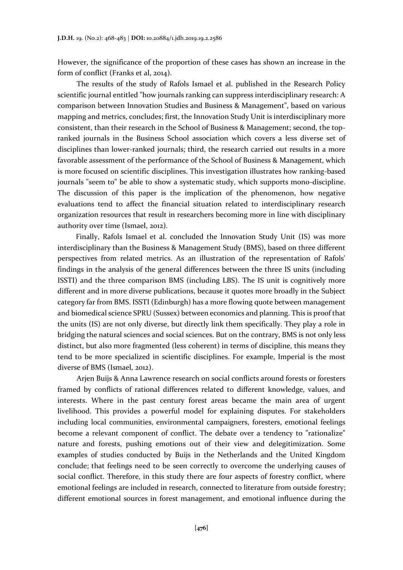However, the significance of the proportion of these cases has shown an increase in the form of conflict (Franks et al, 2014).

The results of the study of Rafols Ismael et al. published in the Research Policy scientific journal entitled "how journals ranking can suppress interdisciplinary research: A comparison between Innovation Studies and Business & Management", based on various mapping and metrics, concludes; first, the Innovation Study Unit is interdisciplinary more consistent, than their research in the School of Business & Management; second, the topranked journals in the Business School association which covers a less diverse set of disciplines than lower-ranked journals; third, the research carried out results in a more favorable assessment of the performance of the School of Business & Management, which is more focused on scientific disciplines. This investigation illustrates how ranking-based journals "seem to" be able to show a systematic study, which supports mono-discipline. The discussion of this paper is the implication of the phenomenon, how negative evaluations tend to affect the financial situation related to interdisciplinary research organization resources that result in researchers becoming more in line with disciplinary authority over time (Ismael, 2012).

Finally, Rafols Ismael et al. concluded the Innovation Study Unit (IS) was more interdisciplinary than the Business & Management Study (BMS), based on three different perspectives from related metrics. As an illustration of the representation of Rafols' findings in the analysis of the general differences between the three IS units (including ISSTI) and the three comparison BMS (including LBS). The IS unit is cognitively more different and in more diverse publications, because it quotes more broadly in the Subject category far from BMS. ISSTI (Edinburgh) has a more flowing quote between management and biomedical science SPRU (Sussex) between economics and planning. This is proof that the units (IS) are not only diverse, but directly link them specifically. They play a role in bridging the natural sciences and social sciences. But on the contrary, BMS is not only less distinct, but also more fragmented (less coherent) in terms of discipline, this means they tend to be more specialized in scientific disciplines. For example, Imperial is the most diverse of BMS (Ismael, 2012).

Arjen Buijs & Anna Lawrence research on social conflicts around forests or foresters framed by conflicts of rational differences related to different knowledge, values, and interests. Where in the past century forest areas became the main area of urgent livelihood. This provides a powerful model for explaining disputes. For stakeholders including local communities, environmental campaigners, foresters, emotional feelings become a relevant component of conflict. The debate over a tendency to "rationalize" nature and forests, pushing emotions out of their view and delegitimization. Some examples of studies conducted by Buijs in the Netherlands and the United Kingdom conclude; that feelings need to be seen correctly to overcome the underlying causes of social conflict. Therefore, in this study there are four aspects of forestry conflict, where emotional feelings are included in research, connected to literature from outside forestry; different emotional sources in forest management, and emotional influence during the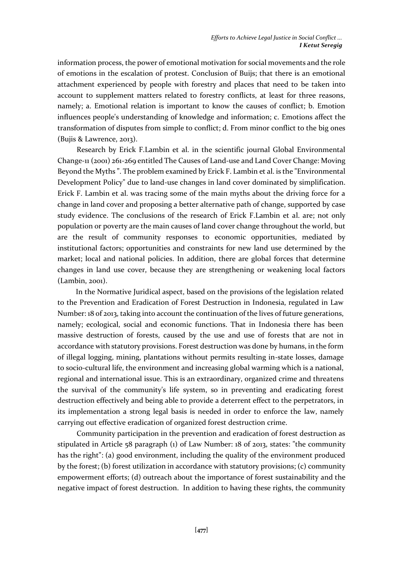information process, the power of emotional motivation for social movements and the role of emotions in the escalation of protest. Conclusion of Buijs; that there is an emotional attachment experienced by people with forestry and places that need to be taken into account to supplement matters related to forestry conflicts, at least for three reasons, namely; a. Emotional relation is important to know the causes of conflict; b. Emotion influences people's understanding of knowledge and information; c. Emotions affect the transformation of disputes from simple to conflict; d. From minor conflict to the big ones (Bujis & Lawrence, 2013).

Research by Erick F.Lambin et al. in the scientific journal Global Environmental Change-11 (2001) 261-269 entitled The Causes of Land-use and Land Cover Change: Moving Beyond the Myths ". The problem examined by Erick F. Lambin et al. is the "Environmental Development Policy" due to land-use changes in land cover dominated by simplification. Erick F. Lambin et al. was tracing some of the main myths about the driving force for a change in land cover and proposing a better alternative path of change, supported by case study evidence. The conclusions of the research of Erick F.Lambin et al. are; not only population or poverty are the main causes of land cover change throughout the world, but are the result of community responses to economic opportunities, mediated by institutional factors; opportunities and constraints for new land use determined by the market; local and national policies. In addition, there are global forces that determine changes in land use cover, because they are strengthening or weakening local factors (Lambin, 2001).

In the Normative Juridical aspect, based on the provisions of the legislation related to the Prevention and Eradication of Forest Destruction in Indonesia, regulated in Law Number: 18 of 2013, taking into account the continuation of the lives of future generations, namely; ecological, social and economic functions. That in Indonesia there has been massive destruction of forests, caused by the use and use of forests that are not in accordance with statutory provisions. Forest destruction was done by humans, in the form of illegal logging, mining, plantations without permits resulting in-state losses, damage to socio-cultural life, the environment and increasing global warming which is a national, regional and international issue. This is an extraordinary, organized crime and threatens the survival of the community's life system, so in preventing and eradicating forest destruction effectively and being able to provide a deterrent effect to the perpetrators, in its implementation a strong legal basis is needed in order to enforce the law, namely carrying out effective eradication of organized forest destruction crime.

Community participation in the prevention and eradication of forest destruction as stipulated in Article 58 paragraph (1) of Law Number: 18 of 2013, states: "the community has the right": (a) good environment, including the quality of the environment produced by the forest; (b) forest utilization in accordance with statutory provisions; (c) community empowerment efforts; (d) outreach about the importance of forest sustainability and the negative impact of forest destruction. In addition to having these rights, the community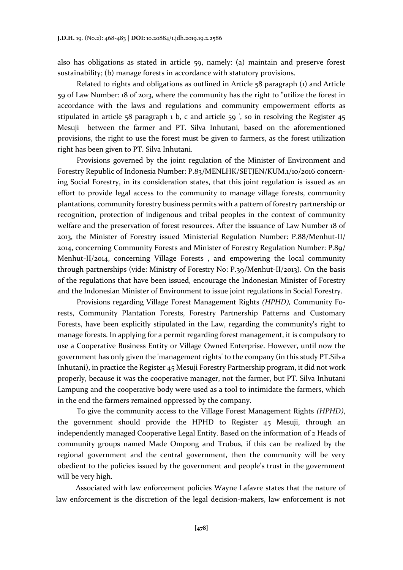also has obligations as stated in article 59, namely: (a) maintain and preserve forest sustainability; (b) manage forests in accordance with statutory provisions.

Related to rights and obligations as outlined in Article 58 paragraph (1) and Article 59 of Law Number: 18 of 2013, where the community has the right to "utilize the forest in accordance with the laws and regulations and community empowerment efforts as stipulated in article 58 paragraph 1 b, c and article 59 ', so in resolving the Register 45 Mesuji between the farmer and PT. Silva Inhutani, based on the aforementioned provisions, the right to use the forest must be given to farmers, as the forest utilization right has been given to PT. Silva Inhutani.

Provisions governed by the joint regulation of the Minister of Environment and Forestry Republic of Indonesia Number: P.83/MENLHK/SETJEN/KUM.1/10/2016 concerning Social Forestry, in its consideration states, that this joint regulation is issued as an effort to provide legal access to the community to manage village forests, community plantations, community forestry business permits with a pattern of forestry partnership or recognition, protection of indigenous and tribal peoples in the context of community welfare and the preservation of forest resources. After the issuance of Law Number 18 of 2013, the Minister of Forestry issued Ministerial Regulation Number: P.88/Menhut-II/ 2014, concerning Community Forests and Minister of Forestry Regulation Number: P.89/ Menhut-II/2014, concerning Village Forests , and empowering the local community through partnerships (vide: Ministry of Forestry No: P.39/Menhut-II/2013). On the basis of the regulations that have been issued, encourage the Indonesian Minister of Forestry and the Indonesian Minister of Environment to issue joint regulations in Social Forestry.

Provisions regarding Village Forest Management Rights *(HPHD),* Community Forests, Community Plantation Forests, Forestry Partnership Patterns and Customary Forests, have been explicitly stipulated in the Law, regarding the community's right to manage forests. In applying for a permit regarding forest management, it is compulsory to use a Cooperative Business Entity or Village Owned Enterprise. However, until now the government has only given the 'management rights' to the company (in this study PT.Silva Inhutani), in practice the Register 45 Mesuji Forestry Partnership program, it did not work properly, because it was the cooperative manager, not the farmer, but PT. Silva Inhutani Lampung and the cooperative body were used as a tool to intimidate the farmers, which in the end the farmers remained oppressed by the company.

To give the community access to the Village Forest Management Rights *(HPHD)*, the government should provide the HPHD to Register 45 Mesuji, through an independently managed Cooperative Legal Entity. Based on the information of 2 Heads of community groups named Made Ompong and Trubus, if this can be realized by the regional government and the central government, then the community will be very obedient to the policies issued by the government and people's trust in the government will be very high.

Associated with law enforcement policies Wayne Lafavre states that the nature of law enforcement is the discretion of the legal decision-makers, law enforcement is not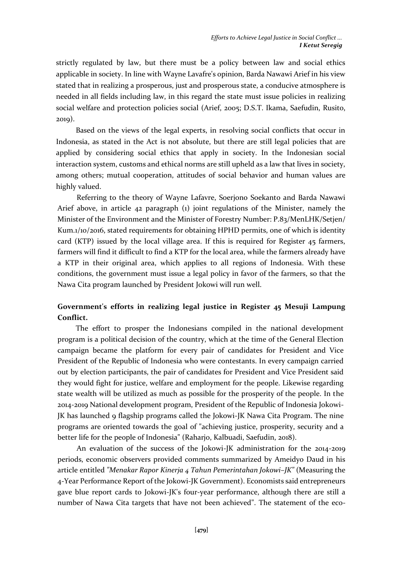strictly regulated by law, but there must be a policy between law and social ethics applicable in society. In line with Wayne Lavafre's opinion, Barda Nawawi Arief in his view stated that in realizing a prosperous, just and prosperous state, a conducive atmosphere is needed in all fields including law, in this regard the state must issue policies in realizing social welfare and protection policies social (Arief, 2005; D.S.T. Ikama, Saefudin, Rusito, 2019).

Based on the views of the legal experts, in resolving social conflicts that occur in Indonesia, as stated in the Act is not absolute, but there are still legal policies that are applied by considering social ethics that apply in society. In the Indonesian social interaction system, customs and ethical norms are still upheld as a law that lives in society, among others; mutual cooperation, attitudes of social behavior and human values are highly valued.

Referring to the theory of Wayne Lafavre, Soerjono Soekanto and Barda Nawawi Arief above, in article 42 paragraph (1) joint regulations of the Minister, namely the Minister of the Environment and the Minister of Forestry Number: P.83/MenLHK/Setjen/ Kum.1/10/2016, stated requirements for obtaining HPHD permits, one of which is identity card (KTP) issued by the local village area. If this is required for Register 45 farmers, farmers will find it difficult to find a KTP for the local area, while the farmers already have a KTP in their original area, which applies to all regions of Indonesia. With these conditions, the government must issue a legal policy in favor of the farmers, so that the Nawa Cita program launched by President Jokowi will run well.

# **Government's efforts in realizing legal justice in Register 45 Mesuji Lampung Conflict.**

The effort to prosper the Indonesians compiled in the national development program is a political decision of the country, which at the time of the General Election campaign became the platform for every pair of candidates for President and Vice President of the Republic of Indonesia who were contestants. In every campaign carried out by election participants, the pair of candidates for President and Vice President said they would fight for justice, welfare and employment for the people. Likewise regarding state wealth will be utilized as much as possible for the prosperity of the people. In the 2014-2019 National development program, President of the Republic of Indonesia Jokowi-JK has launched 9 flagship programs called the Jokowi-JK Nawa Cita Program. The nine programs are oriented towards the goal of "achieving justice, prosperity, security and a better life for the people of Indonesia" (Raharjo, Kalbuadi, Saefudin, 2018).

An evaluation of the success of the Jokowi-JK administration for the 2014-2019 periods, economic observers provided comments summarized by Ameidyo Daud in his article entitled *"Menakar Rapor Kinerja 4 Tahun Pemerintahan Jokowi–JK"* (Measuring the 4-Year Performance Report of the Jokowi-JK Government). Economists said entrepreneurs gave blue report cards to Jokowi-JK's four-year performance, although there are still a number of Nawa Cita targets that have not been achieved". The statement of the eco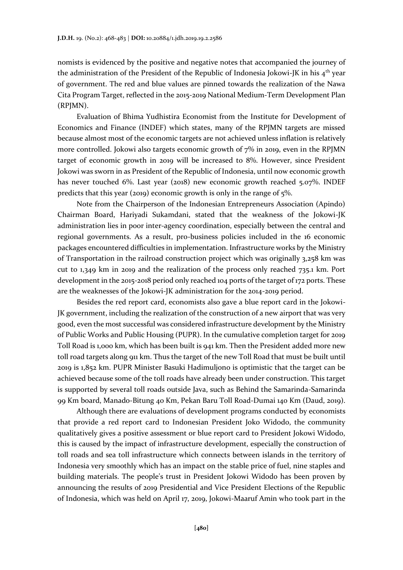nomists is evidenced by the positive and negative notes that accompanied the journey of the administration of the President of the Republic of Indonesia Jokowi-JK in his 4<sup>th</sup> year of government. The red and blue values are pinned towards the realization of the Nawa Cita Program Target, reflected in the 2015-2019 National Medium-Term Development Plan (RPJMN).

Evaluation of Bhima Yudhistira Economist from the Institute for Development of Economics and Finance (INDEF) which states, many of the RPJMN targets are missed because almost most of the economic targets are not achieved unless inflation is relatively more controlled. Jokowi also targets economic growth of 7% in 2019, even in the RPJMN target of economic growth in 2019 will be increased to 8%. However, since President Jokowi was sworn in as President of the Republic of Indonesia, until now economic growth has never touched 6%. Last year (2018) new economic growth reached 5.07%. INDEF predicts that this year (2019) economic growth is only in the range of 5%.

Note from the Chairperson of the Indonesian Entrepreneurs Association (Apindo) Chairman Board, Hariyadi Sukamdani, stated that the weakness of the Jokowi-JK administration lies in poor inter-agency coordination, especially between the central and regional governments. As a result, pro-business policies included in the 16 economic packages encountered difficulties in implementation. Infrastructure works by the Ministry of Transportation in the railroad construction project which was originally 3,258 km was cut to 1,349 km in 2019 and the realization of the process only reached 735.1 km. Port development in the 2015-2018 period only reached 104 ports of the target of 172 ports. These are the weaknesses of the Jokowi-JK administration for the 2014-2019 period.

Besides the red report card, economists also gave a blue report card in the Jokowi-JK government, including the realization of the construction of a new airport that was very good, even the most successful was considered infrastructure development by the Ministry of Public Works and Public Housing (PUPR). In the cumulative completion target for 2019 Toll Road is 1,000 km, which has been built is 941 km. Then the President added more new toll road targets along 911 km. Thus the target of the new Toll Road that must be built until 2019 is 1,852 km. PUPR Minister Basuki Hadimuljono is optimistic that the target can be achieved because some of the toll roads have already been under construction. This target is supported by several toll roads outside Java, such as Behind the Samarinda-Samarinda 99 Km board, Manado-Bitung 40 Km, Pekan Baru Toll Road-Dumai 140 Km (Daud, 2019).

Although there are evaluations of development programs conducted by economists that provide a red report card to Indonesian President Joko Widodo, the community qualitatively gives a positive assessment or blue report card to President Jokowi Widodo, this is caused by the impact of infrastructure development, especially the construction of toll roads and sea toll infrastructure which connects between islands in the territory of Indonesia very smoothly which has an impact on the stable price of fuel, nine staples and building materials. The people's trust in President Jokowi Widodo has been proven by announcing the results of 2019 Presidential and Vice President Elections of the Republic of Indonesia, which was held on April 17, 2019, Jokowi-Maaruf Amin who took part in the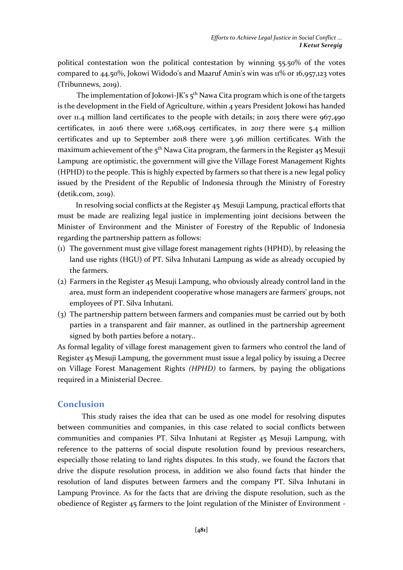political contestation won the political contestation by winning 55.50% of the votes compared to  $44.50\%$ , Jokowi Widodo's and Maaruf Amin's win was  $11\%$  or  $16,957,123$  votes (Tribunnews, 2019).

The implementation of Jokowi-JK's 5<sup>th</sup> Nawa Cita program which is one of the targets is the development in the Field of Agriculture, within 4 years President Jokowi has handed over 11.4 million land certificates to the people with details; in 2015 there were 967,490 certificates, in 2016 there were 1,168,095 certificates, in 2017 there were 5.4 million certificates and up to September 2018 there were 3.96 million certificates. With the maximum achievement of the  $5<sup>th</sup>$  Nawa Cita program, the farmers in the Register 45 Mesuji Lampung are optimistic, the government will give the Village Forest Management Rights (HPHD) to the people. This is highly expected by farmers so that there is a new legal policy issued by the President of the Republic of Indonesia through the Ministry of Forestry **(**detik.com, 2019).

In resolving social conflicts at the Register 45 Mesuji Lampung, practical efforts that must be made are realizing legal justice in implementing joint decisions between the Minister of Environment and the Minister of Forestry of the Republic of Indonesia regarding the partnership pattern as follows:

- (1) The government must give village forest management rights (HPHD), by releasing the land use rights (HGU) of PT. Silva Inhutani Lampung as wide as already occupied by the farmers.
- (2) Farmers in the Register 45 Mesuji Lampung, who obviously already control land in the area, must form an independent cooperative whose managers are farmers' groups, not employees of PT. Silva Inhutani.
- (3) The partnership pattern between farmers and companies must be carried out by both parties in a transparent and fair manner, as outlined in the partnership agreement signed by both parties before a notary..

As formal legality of village forest management given to farmers who control the land of Register 45 Mesuji Lampung, the government must issue a legal policy by issuing a Decree on Village Forest Management Rights *(HPHD)* to farmers, by paying the obligations required in a Ministerial Decree.

### **Conclusion**

This study raises the idea that can be used as one model for resolving disputes between communities and companies, in this case related to social conflicts between communities and companies PT. Silva Inhutani at Register 45 Mesuji Lampung, with reference to the patterns of social dispute resolution found by previous researchers, especially those relating to land rights disputes. In this study, we found the factors that drive the dispute resolution process, in addition we also found facts that hinder the resolution of land disputes between farmers and the company PT. Silva Inhutani in Lampung Province. As for the facts that are driving the dispute resolution, such as the obedience of Register 45 farmers to the Joint regulation of the Minister of Environment -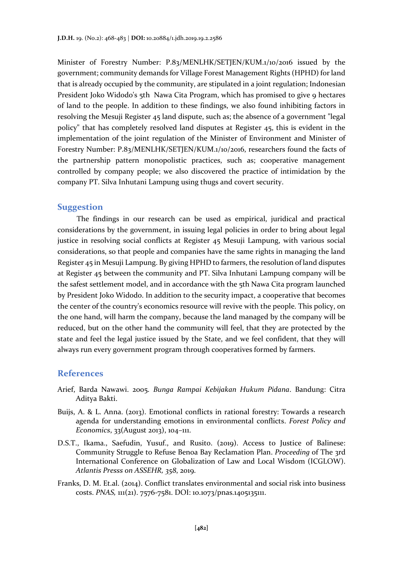Minister of Forestry Number: P.83/MENLHK/SETJEN/KUM.1/10/2016 issued by the government; community demands for Village Forest Management Rights (HPHD) for land that is already occupied by the community, are stipulated in a joint regulation; Indonesian President Joko Widodo's 5th Nawa Cita Program, which has promised to give 9 hectares of land to the people. In addition to these findings, we also found inhibiting factors in resolving the Mesuji Register 45 land dispute, such as; the absence of a government "legal policy" that has completely resolved land disputes at Register 45, this is evident in the implementation of the joint regulation of the Minister of Environment and Minister of Forestry Number: P.83/MENLHK/SETJEN/KUM.1/10/2016, researchers found the facts of the partnership pattern monopolistic practices, such as; cooperative management controlled by company people; we also discovered the practice of intimidation by the company PT. Silva Inhutani Lampung using thugs and covert security.

#### **Suggestion**

The findings in our research can be used as empirical, juridical and practical considerations by the government, in issuing legal policies in order to bring about legal justice in resolving social conflicts at Register 45 Mesuji Lampung, with various social considerations, so that people and companies have the same rights in managing the land Register 45 in Mesuji Lampung. By giving HPHD to farmers, the resolution of land disputes at Register 45 between the community and PT. Silva Inhutani Lampung company will be the safest settlement model, and in accordance with the 5th Nawa Cita program launched by President Joko Widodo. In addition to the security impact, a cooperative that becomes the center of the country's economics resource will revive with the people. This policy, on the one hand, will harm the company, because the land managed by the company will be reduced, but on the other hand the community will feel, that they are protected by the state and feel the legal justice issued by the State, and we feel confident, that they will always run every government program through cooperatives formed by farmers.

#### **References**

- Arief, Barda Nawawi. 2005. *Bunga Rampai Kebijakan Hukum Pidana*. Bandung: Citra Aditya Bakti.
- Buijs, A. & L. Anna. (2013). Emotional conflicts in rational forestry: Towards a research agenda for understanding emotions in environmental conflicts. *Forest Policy and Economics*, 33(August 2013), 104–111.
- D.S.T., Ikama., Saefudin, Yusuf., and Rusito. (2019). Access to Justice of Balinese: Community Struggle to Refuse Benoa Bay Reclamation Plan. *Proceeding* of The 3rd International Conference on Globalization of Law and Local Wisdom (ICGLOW). *Atlantis Presss on ASSEHR, 358*, 2019.
- Franks, D. M. Et.al. (2014). Conflict translates environmental and social risk into business costs. *PNAS,* 111(21). 7576-7581. DOI: 10.1073/pnas.1405135111.